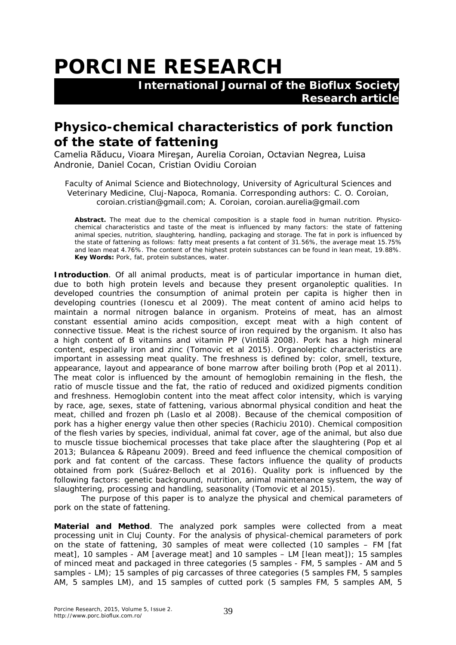## **PORCINE RESEARCH**

 **International Journal of the Bioflux Society Research article**

## **Physico-chemical characteristics of pork function of the state of fattening**

Camelia Răducu, Vioara Mireşan, Aurelia Coroian, Octavian Negrea, Luisa Andronie, Daniel Cocan, Cristian Ovidiu Coroian

Faculty of Animal Science and Biotechnology, University of Agricultural Sciences and Veterinary Medicine, Cluj-Napoca, Romania. Corresponding authors: C. O. Coroian, coroian.cristian@gmail.com; A. Coroian, coroian.aurelia@gmail.com

**Abstract.** The meat due to the chemical composition is a staple food in human nutrition. Physicochemical characteristics and taste of the meat is influenced by many factors: the state of fattening animal species, nutrition, slaughtering, handling, packaging and storage. The fat in pork is influenced by the state of fattening as follows: fatty meat presents a fat content of 31.56%, the average meat 15.75% and lean meat 4.76%. The content of the highest protein substances can be found in lean meat, 19.88%. **Key Words:** Pork, fat, protein substances, water.

**Introduction**. Of all animal products, meat is of particular importance in human diet, due to both high protein levels and because they present organoleptic qualities. In developed countries the consumption of animal protein per capita is higher then in developing countries (Ionescu et al 2009). The meat content of amino acid helps to maintain a normal nitrogen balance in organism. Proteins of meat, has an almost constant essential amino acids composition, except meat with a high content of connective tissue. Meat is the richest source of iron required by the organism. It also has a high content of B vitamins and vitamin PP (Vintilă 2008). Pork has a high mineral content, especially iron and zinc (Tomovic et al 2015). Organoleptic characteristics are important in assessing meat quality. The freshness is defined by: color, smell, texture, appearance, layout and appearance of bone marrow after boiling broth (Pop et al 2011). The meat color is influenced by the amount of hemoglobin remaining in the flesh, the ratio of muscle tissue and the fat, the ratio of reduced and oxidized pigments condition and freshness. Hemoglobin content into the meat affect color intensity, which is varying by race, age, sexes, state of fattening, various abnormal physical condition and heat the meat, chilled and frozen ph (Laslo et al 2008). Because of the chemical composition of pork has a higher energy value then other species (Rachiciu 2010). Chemical composition of the flesh varies by species, individual, animal fat cover, age of the animal, but also due to muscle tissue biochemical processes that take place after the slaughtering (Pop et al 2013; Bulancea & Râpeanu 2009). Breed and feed influence the chemical composition of pork and fat content of the carcass. These factors influence the quality of products obtained from pork (Suárez-Belloch et al 2016). Quality pork is influenced by the following factors: genetic background, nutrition, animal maintenance system, the way of slaughtering, processing and handling, seasonality (Tomovic et al 2015).

The purpose of this paper is to analyze the physical and chemical parameters of pork on the state of fattening.

**Material and Method**. The analyzed pork samples were collected from a meat processing unit in Cluj County. For the analysis of physical-chemical parameters of pork on the state of fattening, 30 samples of meat were collected (10 samples – FM [fat meat], 10 samples - AM [average meat] and 10 samples – LM [lean meat]); 15 samples of minced meat and packaged in three categories (5 samples - FM, 5 samples - AM and 5 samples - LM); 15 samples of pig carcasses of three categories (5 samples FM, 5 samples AM, 5 samples LM), and 15 samples of cutted pork (5 samples FM, 5 samples AM, 5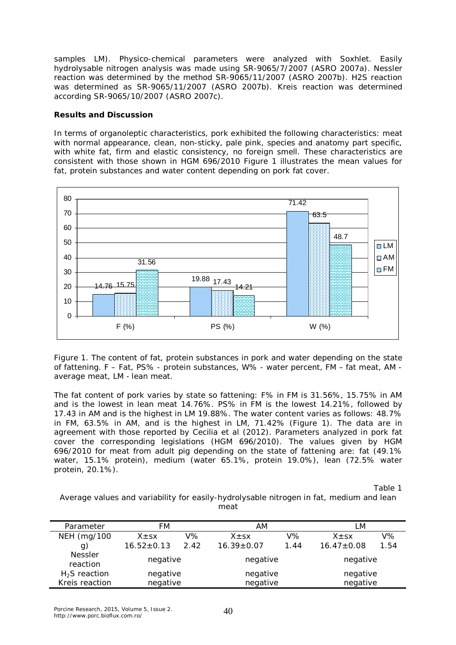samples LM). Physico-chemical parameters were analyzed with Soxhlet. Easily hydrolysable nitrogen analysis was made using SR-9065/7/2007 (ASRO 2007a). Nessler reaction was determined by the method SR-9065/11/2007 (ASRO 2007b). H2S reaction was determined as SR-9065/11/2007 (ASRO 2007b). Kreis reaction was determined according SR-9065/10/2007 (ASRO 2007c).

## **Results and Discussion**

In terms of organoleptic characteristics, pork exhibited the following characteristics: meat with normal appearance, clean, non-sticky, pale pink, species and anatomy part specific, with white fat, firm and elastic consistency, no foreign smell. These characteristics are consistent with those shown in HGM 696/2010 Figure 1 illustrates the mean values for fat, protein substances and water content depending on pork fat cover.



Figure 1. The content of fat, protein substances in pork and water depending on the state of fattening. F – Fat, PS% - protein substances, W% - water percent, FM – fat meat, AM average meat, LM - lean meat.

The fat content of pork varies by state so fattening: F% in FM is 31.56%, 15.75% in AM and is the lowest in lean meat 14.76%. PS% in FM is the lowest 14.21%, followed by 17.43 in AM and is the highest in LM 19.88%. The water content varies as follows: 48.7% in FM, 63.5% in AM, and is the highest in LM, 71.42% (Figure 1). The data are in agreement with those reported by Cecilia et al (2012). Parameters analyzed in pork fat cover the corresponding legislations (HGM 696/2010). The values given by HGM 696/2010 for meat from adult pig depending on the state of fattening are: fat (49.1% water, 15.1% protein), medium (water 65.1%, protein 19.0%), lean (72.5% water protein, 20.1%).

Table 1

Average values and variability for easily-hydrolysable nitrogen in fat, medium and lean meat

| Parameter                  | FМ               |      | АM               |      | LМ               |       |
|----------------------------|------------------|------|------------------|------|------------------|-------|
| NEH (mg/100                | $X \pm S X$      | V%   | $X \pm SX$       | V%   | $X + SX$         | $V\%$ |
| g)                         | $16.52 \pm 0.13$ | 2.42 | $16.39 \pm 0.07$ | 1.44 | $16.47 \pm 0.08$ | 1.54  |
| <b>Nessler</b><br>reaction | negative         |      | negative         |      | negative         |       |
| $H2S$ reaction             | negative         |      | negative         |      | negative         |       |
| Kreis reaction             | negative         |      | negative         |      | negative         |       |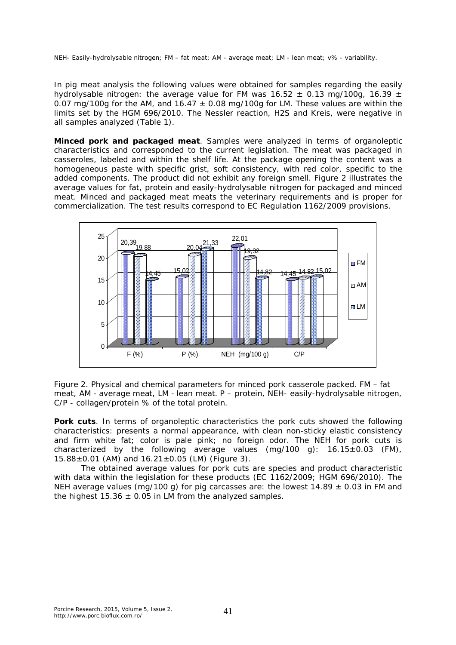NEH- Easily-hydrolysable nitrogen; FM – fat meat; AM - average meat; LM - lean meat; v% - variability.

In pig meat analysis the following values were obtained for samples regarding the easily hydrolysable nitrogen: the average value for FM was  $16.52 \pm 0.13$  mg/100g,  $16.39 \pm 10$ 0.07 mg/100g for the AM, and  $16.47 \pm 0.08$  mg/100g for LM. These values are within the limits set by the HGM 696/2010. The Nessler reaction, H2S and Kreis, were negative in all samples analyzed (Table 1).

*Minced pork and packaged meat*. Samples were analyzed in terms of organoleptic characteristics and corresponded to the current legislation. The meat was packaged in casseroles, labeled and within the shelf life. At the package opening the content was a homogeneous paste with specific grist, soft consistency, with red color, specific to the added components. The product did not exhibit any foreign smell. Figure 2 illustrates the average values for fat, protein and easily-hydrolysable nitrogen for packaged and minced meat. Minced and packaged meat meats the veterinary requirements and is proper for commercialization. The test results correspond to EC Regulation 1162/2009 provisions.



Figure 2. Physical and chemical parameters for minced pork casserole packed. FM – fat meat, AM - average meat, LM - lean meat. P – protein, NEH- easily-hydrolysable nitrogen, C/P - collagen/protein % of the total protein.

**Pork cuts**. In terms of organoleptic characteristics the pork cuts showed the following characteristics: presents a normal appearance, with clean non-sticky elastic consistency and firm white fat; color is pale pink; no foreign odor. The NEH for pork cuts is characterized by the following average values  $(mq/100 q)$ :  $16.15 \pm 0.03$  (FM),  $15.88 \pm 0.01$  (AM) and  $16.21 \pm 0.05$  (LM) (Figure 3).

The obtained average values for pork cuts are species and product characteristic with data within the legislation for these products (EC 1162/2009; HGM 696/2010). The NEH average values (mg/100 g) for pig carcasses are: the lowest 14.89  $\pm$  0.03 in FM and the highest  $15.36 \pm 0.05$  in LM from the analyzed samples.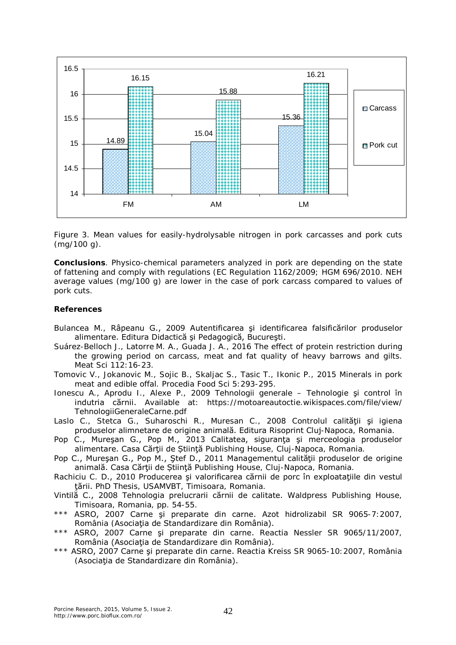

Figure 3. Mean values for easily-hydrolysable nitrogen in pork carcasses and pork cuts (mg/100 g).

**Conclusions**. Physico-chemical parameters analyzed in pork are depending on the state of fattening and comply with regulations (EC Regulation 1162/2009; HGM 696/2010. NEH average values (mg/100 g) are lower in the case of pork carcass compared to values of pork cuts.

## **References**

- Bulancea M., Râpeanu G., 2009 Autentificarea şi identificarea falsificărilor produselor alimentare. Editura Didactică şi Pedagogică, Bucureşti.
- Suárez-Belloch J., Latorre M. A., Guada J. A., 2016 The effect of protein restriction during the growing period on carcass, meat and fat quality of heavy barrows and gilts. Meat Sci 112:16-23.
- Tomovic V., Jokanovic M., Sojic B., Skaljac S., Tasic T., Ikonic P., 2015 Minerals in pork meat and edible offal. Procedia Food Sci 5:293-295.
- Ionescu A., Aprodu I., Alexe P., 2009 Tehnologii generale Tehnologie şi control în indutria cărnii. Available at: https://motoareautoctie.wikispaces.com/file/view/ TehnologiiGeneraleCarne.pdf
- Laslo C., Stetca G., Suharoschi R., Muresan C., 2008 Controlul calității și igiena produselor alimnetare de origine animală. Editura Risoprint Cluj-Napoca, Romania.
- Pop C., Mureşan G., Pop M., 2013 Calitatea, siguranţa şi merceologia produselor alimentare. Casa Cărtii de Stiință Publishing House, Clui-Napoca, Romania.
- Pop C., Muresan G., Pop M., Stef D., 2011 Managementul calității produselor de origine animală. Casa Cărții de Stiință Publishing House, Cluj-Napoca, Romania.
- Rachiciu C. D., 2010 Producerea și valorificarea cărnii de porc în exploatațiile din vestul ţării. PhD Thesis, USAMVBT, Timisoara, Romania.
- Vintilă C., 2008 Tehnologia prelucrarii cărnii de calitate. Waldpress Publishing House, Timisoara, Romania, pp. 54-55.
- \*\*\* ASRO, 2007 Carne şi preparate din carne. Azot hidrolizabil SR 9065-7:2007, România (Asociaţia de Standardizare din România).
- \*\*\* ASRO, 2007 Carne şi preparate din carne. Reactia Nessler SR 9065/11/2007, România (Asociaţia de Standardizare din România).
- \*\*\* ASRO, 2007 Carne şi preparate din carne. Reactia Kreiss SR 9065-10:2007, România (Asociația de Standardizare din România).